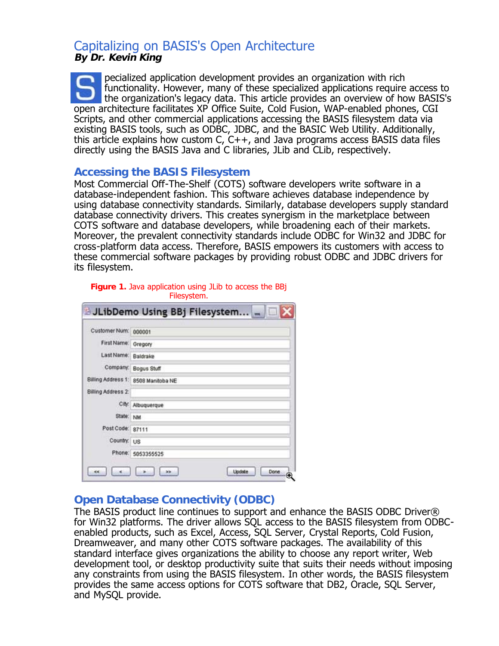# Capitalizing on BASIS's Open Architecture **By Dr. Kevin King**

pecialized application development provides an organization with rich functionality. However, many of these specialized applications require access to the organization's legacy data. This article provides an overview of how BASIS's open architecture facilitates XP Office Suite, Cold Fusion, WAP-enabled phones, CGI Scripts, and other commercial applications accessing the BASIS filesystem data via existing BASIS tools, such as ODBC, JDBC, and the BASIC Web Utility. Additionally, this article explains how custom C,  $C++$ , and Java programs access BASIS data files directly using the BASIS Java and C libraries, JLib and CLib, respectively.

#### **Accessing the BASIS Filesystem**

Most Commercial Off-The-Shelf (COTS) software developers write software in a database-independent fashion. This software achieves database independence by using database connectivity standards. Similarly, database developers supply standard database connectivity drivers. This creates synergism in the marketplace between COTS software and database developers, while broadening each of their markets. Moreover, the prevalent connectivity standards include ODBC for Win32 and JDBC for cross-platform data access. Therefore, BASIS empowers its customers with access to these commercial software packages by providing robust ODBC and JDBC drivers for its filesystem.

| Customer Num: 000001 |                                     |
|----------------------|-------------------------------------|
|                      |                                     |
| First Name: Gregory  |                                     |
| Last Name: Baldrake  |                                     |
|                      | Company. Bogus Stuff                |
|                      | Billing Address 1: 8508 Manitoba NE |
| Billing Address 2:   |                                     |
|                      | City: Albuquerque                   |
| State: NM            |                                     |
| Post Code: 87111     |                                     |
| Country: US          |                                     |
|                      | Phone: 5053355525                   |

#### **Figure 1.** Java application using JLib to access the BBj Filesystem.

## **Open Database Connectivity (ODBC)**

The BASIS product line continues to support and enhance the BASIS ODBC Driver® for Win32 platforms. The driver allows SQL access to the BASIS filesystem from ODBCenabled products, such as Excel, Access, SQL Server, Crystal Reports, Cold Fusion, Dreamweaver, and many other COTS software packages. The availability of this standard interface gives organizations the ability to choose any report writer, Web development tool, or desktop productivity suite that suits their needs without imposing any constraints from using the BASIS filesystem. In other words, the BASIS filesystem provides the same access options for COTS software that DB2, Oracle, SQL Server, and MySQL provide.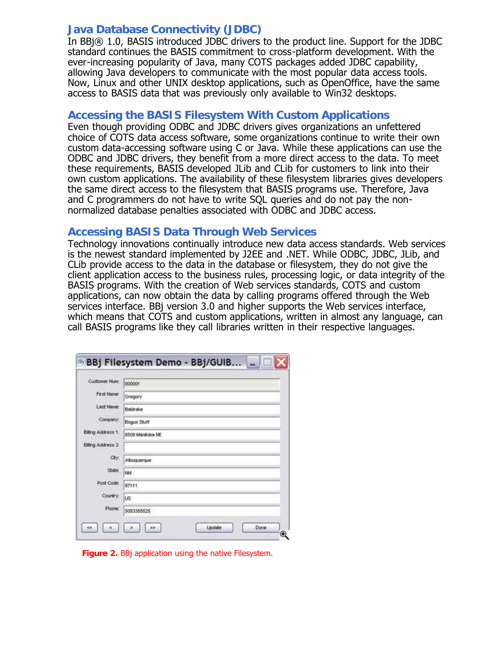### **Java Database Connectivity (JDBC)**

In BBi® 1.0, BASIS introduced JDBC drivers to the product line. Support for the JDBC standard continues the BASIS commitment to cross-platform development. With the ever-increasing popularity of Java, many COTS packages added JDBC capability, allowing Java developers to communicate with the most popular data access tools. Now, Linux and other UNIX desktop applications, such as OpenOffice, have the same access to BASIS data that was previously only available to Win32 desktops.

#### **Accessing the BASIS Filesystem With Custom Applications**

Even though providing ODBC and JDBC drivers gives organizations an unfettered choice of COTS data access software, some organizations continue to write their own custom data-accessing software using C or Java. While these applications can use the ODBC and JDBC drivers, they benefit from a more direct access to the data. To meet these requirements, BASIS developed JLib and CLib for customers to link into their own custom applications. The availability of these filesystem libraries gives developers the same direct access to the filesystem that BASIS programs use. Therefore, Java and C programmers do not have to write SQL queries and do not pay the nonnormalized database penalties associated with ODBC and JDBC access.

#### **Accessing BASIS Data Through Web Services**

Technology innovations continually introduce new data access standards. Web services is the newest standard implemented by J2EE and .NET. While ODBC, JDBC, JLib, and CLib provide access to the data in the database or filesystem, they do not give the client application access to the business rules, processing logic, or data integrity of the BASIS programs. With the creation of Web services standards, COTS and custom applications, can now obtain the data by calling programs offered through the Web services interface. BBj version 3.0 and higher supports the Web services interface, which means that COTS and custom applications, written in almost any language, can call BASIS programs like they call libraries written in their respective languages.

| Customer Num:      | 000001           |
|--------------------|------------------|
| First Name:        | Gregory          |
| Last Name:         | Baldrake         |
| Company:           | Bogus Stuff      |
| Billing Address 1: | 8508 Manitoba NE |
| Billing Address 2  |                  |
| City:              | Albuquerque      |
| State:             | NM               |
| Post Code:         | 87111            |
| Country:           | US.              |
| Phone:             | 5053355525       |

**Figure 2.** BBj application using the native Filesystem.